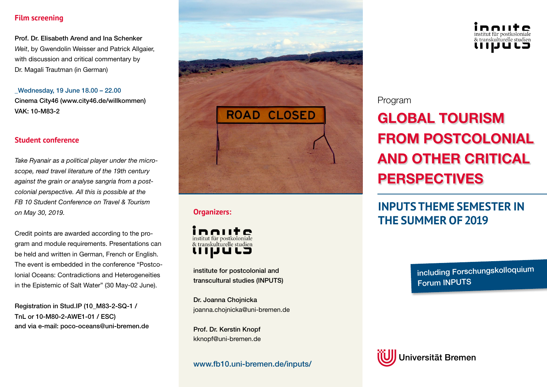# **Film screening**

Prof. Dr. Elisabeth Arend and Ina Schenker *Weit*, by Gwendolin Weisser and Patrick Allgaier, with discussion and critical commentary by Dr. Magali Trautman (in German)

\_Wednesday, 19 June 18.00 – 22.00 Cinema City46 (www.city46.de/willkommen) VAK: 10-M83-2

#### **Student conference**

*Take Ryanair as a political player under the microscope, read travel literature of the 19th century against the grain or analyse sangria from a postcolonial perspective. All this is possible at the FB 10 Student Conference on Travel & Tourism on May 30, 2019.*

Credit points are awarded according to the program and module requirements. Presentations can be held and written in German, French or English. The event is embedded in the conference "Postcolonial Oceans: Contradictions and Heterogeneities in the Epistemic of Salt Water" (30 May-02 June).

Registration in Stud.IP (10\_M83-2-SQ-1 / TnL or 10-M80-2-AWE1-01 / ESC) and via e-mail: poco-oceans@uni-bremen.de



# **Organizers:**



institute for postcolonial and transcultural studies (INPUTS)

Dr. Joanna Chojnicka joanna.chojnicka@uni-bremen.de

Prof. Dr. Kerstin Knopf kknopf@uni-bremen.de

# www.fb10.uni-bremen.de/inputs/



# Program

# GLOBAL TOURISM FROM POSTCOLONIAL AND OTHER CRITICAL PERSPECTIVES

# **INPUTS THEME SEMESTER IN THE SUMMER OF 2019**

including Forschungskolloquium Forum INPUTS